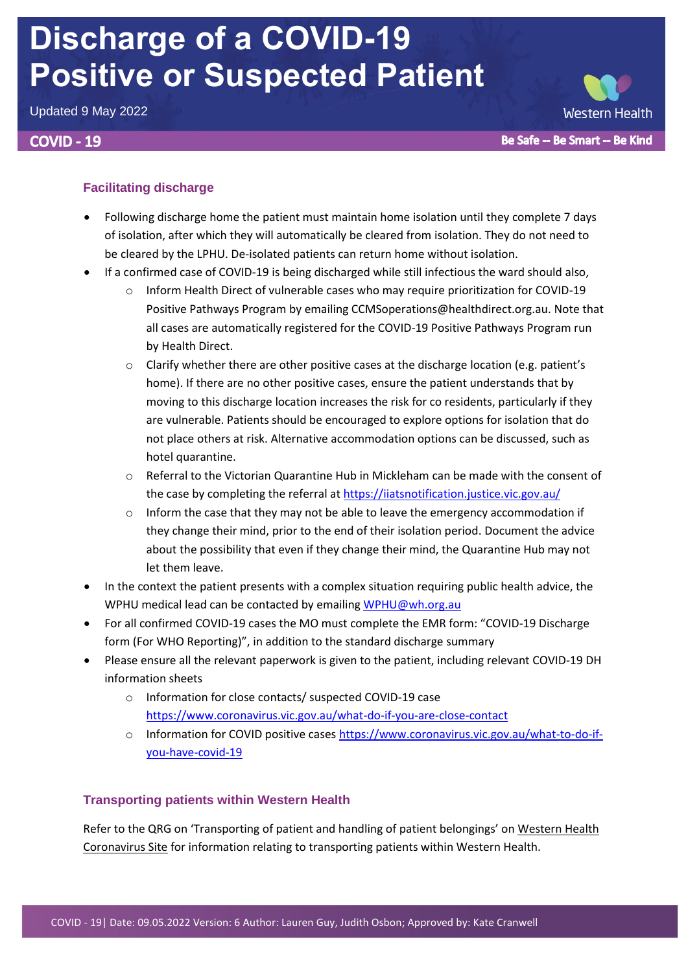# **Discharge of a COVID-19 Positive or Suspected Patient**

Updated 9 May 2022

# **COVID - 19**

# **Facilitating discharge**

- Following discharge home the patient must maintain home isolation until they complete 7 days of isolation, after which they will automatically be cleared from isolation. They do not need to be cleared by the LPHU. De-isolated patients can return home without isolation.
- If a confirmed case of COVID-19 is being discharged while still infectious the ward should also,
	- o Inform Health Direct of vulnerable cases who may require prioritization for COVID-19 Positive Pathways Program by emailing CCMSoperations@healthdirect.org.au. Note that all cases are automatically registered for the COVID-19 Positive Pathways Program run by Health Direct.
	- $\circ$  Clarify whether there are other positive cases at the discharge location (e.g. patient's home). If there are no other positive cases, ensure the patient understands that by moving to this discharge location increases the risk for co residents, particularly if they are vulnerable. Patients should be encouraged to explore options for isolation that do not place others at risk. Alternative accommodation options can be discussed, such as hotel quarantine.
	- $\circ$  Referral to the Victorian Quarantine Hub in Mickleham can be made with the consent of the case by completing the referral at<https://iiatsnotification.justice.vic.gov.au/>
	- $\circ$  Inform the case that they may not be able to leave the emergency accommodation if they change their mind, prior to the end of their isolation period. Document the advice about the possibility that even if they change their mind, the Quarantine Hub may not let them leave.
- In the context the patient presents with a complex situation requiring public health advice, the WPHU medical lead can be contacted by emailin[g WPHU@wh.org.au](mailto:WPHU@wh.org.au)
- For all confirmed COVID-19 cases the MO must complete the EMR form: "COVID-19 Discharge form (For WHO Reporting)", in addition to the standard discharge summary
- Please ensure all the relevant paperwork is given to the patient, including relevant COVID-19 DH information sheets
	- o Information for close contacts/ suspected COVID-19 case <https://www.coronavirus.vic.gov.au/what-do-if-you-are-close-contact>
	- o Information for COVID positive cases [https://www.coronavirus.vic.gov.au/what-to-do-if](https://www.coronavirus.vic.gov.au/what-to-do-if-you-have-covid-19)[you-have-covid-19](https://www.coronavirus.vic.gov.au/what-to-do-if-you-have-covid-19)

# **Transporting patients within Western Health**

Refer to the QRG on 'Transporting of patient and handling of patient belongings' on [Western Health](https://coronavirus.wh.org.au/quick-reference-guides/)  [Coronavirus Site](https://coronavirus.wh.org.au/quick-reference-guides/) for information relating to transporting patients within Western Health.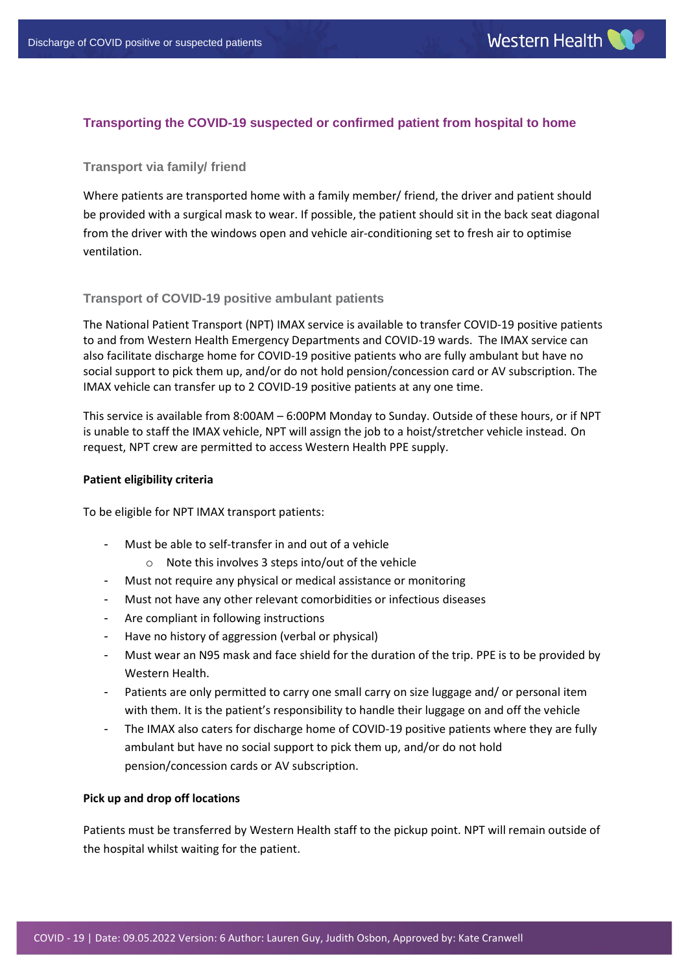# **Transporting the COVID-19 suspected or confirmed patient from hospital to home**

## **Transport via family/ friend**

Where patients are transported home with a family member/ friend, the driver and patient should be provided with a surgical mask to wear. If possible, the patient should sit in the back seat diagonal from the driver with the windows open and vehicle air-conditioning set to fresh air to optimise ventilation.

#### **Transport of COVID-19 positive ambulant patients**

The National Patient Transport (NPT) IMAX service is available to transfer COVID-19 positive patients to and from Western Health Emergency Departments and COVID-19 wards. The IMAX service can also facilitate discharge home for COVID-19 positive patients who are fully ambulant but have no social support to pick them up, and/or do not hold pension/concession card or AV subscription. The IMAX vehicle can transfer up to 2 COVID-19 positive patients at any one time.

This service is available from 8:00AM – 6:00PM Monday to Sunday. Outside of these hours, or if NPT is unable to staff the IMAX vehicle, NPT will assign the job to a hoist/stretcher vehicle instead. On request, NPT crew are permitted to access Western Health PPE supply.

#### **Patient eligibility criteria**

To be eligible for NPT IMAX transport patients:

- Must be able to self-transfer in and out of a vehicle
	- o Note this involves 3 steps into/out of the vehicle
- Must not require any physical or medical assistance or monitoring
- Must not have any other relevant comorbidities or infectious diseases
- Are compliant in following instructions
- Have no history of aggression (verbal or physical)
- Must wear an N95 mask and face shield for the duration of the trip. PPE is to be provided by Western Health.
- Patients are only permitted to carry one small carry on size luggage and/ or personal item with them. It is the patient's responsibility to handle their luggage on and off the vehicle
- The IMAX also caters for discharge home of COVID-19 positive patients where they are fully ambulant but have no social support to pick them up, and/or do not hold pension/concession cards or AV subscription.

#### **Pick up and drop off locations**

Patients must be transferred by Western Health staff to the pickup point. NPT will remain outside of the hospital whilst waiting for the patient.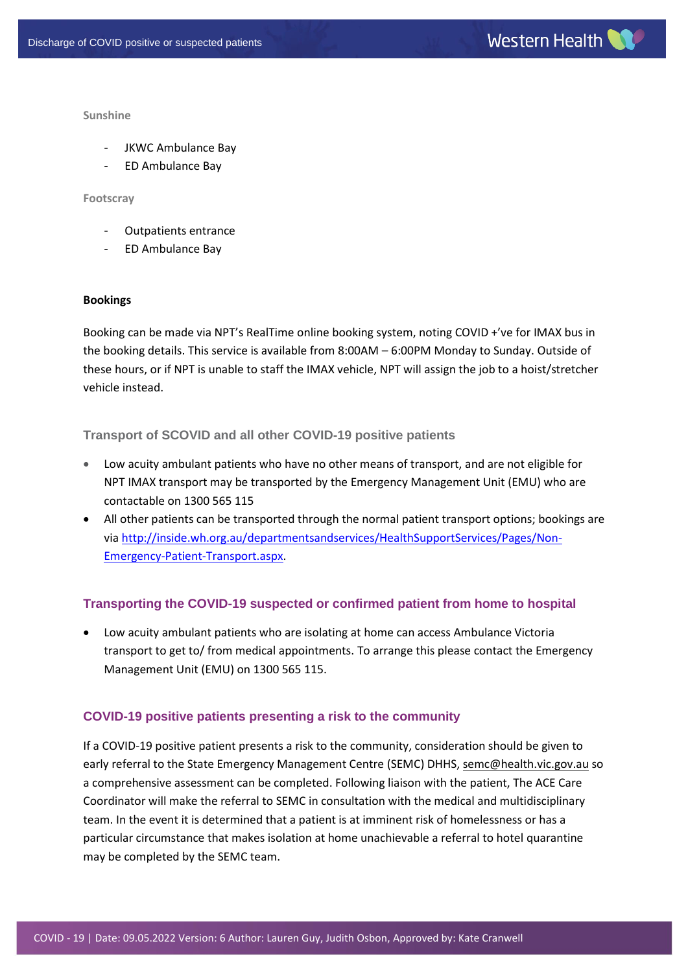**Sunshine**

- JKWC Ambulance Bay
- ED Ambulance Bay

#### **Footscray**

- Outpatients entrance
- ED Ambulance Bay

#### **Bookings**

Booking can be made via NPT's RealTime online booking system, noting COVID +'ve for IMAX bus in the booking details. This service is available from 8:00AM – 6:00PM Monday to Sunday. Outside of these hours, or if NPT is unable to staff the IMAX vehicle, NPT will assign the job to a hoist/stretcher vehicle instead.

## **Transport of SCOVID and all other COVID-19 positive patients**

- Low acuity ambulant patients who have no other means of transport, and are not eligible for NPT IMAX transport may be transported by the Emergency Management Unit (EMU) who are contactable on 1300 565 115
- All other patients can be transported through the normal patient transport options; bookings are via [http://inside.wh.org.au/departmentsandservices/HealthSupportServices/Pages/Non-](http://inside.wh.org.au/departmentsandservices/HealthSupportServices/Pages/Non-Emergency-Patient-Transport.aspx)[Emergency-Patient-Transport.aspx.](http://inside.wh.org.au/departmentsandservices/HealthSupportServices/Pages/Non-Emergency-Patient-Transport.aspx)

# **Transporting the COVID-19 suspected or confirmed patient from home to hospital**

 Low acuity ambulant patients who are isolating at home can access Ambulance Victoria transport to get to/ from medical appointments. To arrange this please contact the Emergency Management Unit (EMU) on 1300 565 115.

# **COVID-19 positive patients presenting a risk to the community**

If a COVID-19 positive patient presents a risk to the community, consideration should be given to early referral to the State Emergency Management Centre (SEMC) DHHS[, semc@health.vic.gov.au](mailto:semc@health.vic.gov.au) so a comprehensive assessment can be completed. Following liaison with the patient, The ACE Care Coordinator will make the referral to SEMC in consultation with the medical and multidisciplinary team. In the event it is determined that a patient is at imminent risk of homelessness or has a particular circumstance that makes isolation at home unachievable a referral to hotel quarantine may be completed by the SEMC team.